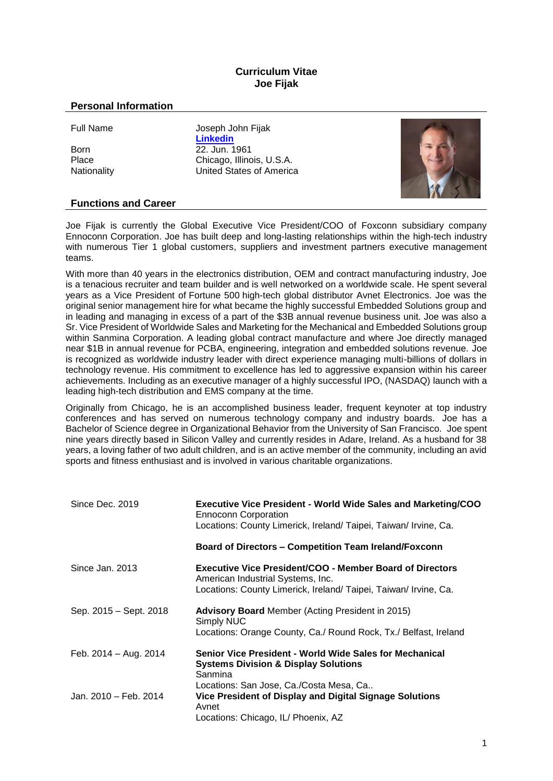## **Curriculum Vitae Joe Fijak**

## **Personal Information**

Full Name Joseph John Fijak **[Linkedin](https://www.linkedin.com/in/joefijak?lipi=urn%3Ali%3Apage%3Ad_flagship3_profile_view_base_contact_details%3BF5DeEkTfQYSzl5QEeuA8jw%3D%3D)** Born 22. Jun. 1961<br>Place Chicago Illino Place Chicago, Illinois, U.S.A.<br>
Nationality Chicago, Illinois, U.S.A.<br>
United States of Americ United States of America



## **Functions and Career**

Joe Fijak is currently the Global Executive Vice President/COO of Foxconn subsidiary company Ennoconn Corporation. Joe has built deep and long-lasting relationships within the high-tech industry with numerous Tier 1 global customers, suppliers and investment partners executive management teams.

With more than 40 years in the electronics distribution, OEM and contract manufacturing industry, Joe is a tenacious recruiter and team builder and is well networked on a worldwide scale. He spent several years as a Vice President of Fortune 500 high-tech global distributor Avnet Electronics. Joe was the original senior management hire for what became the highly successful Embedded Solutions group and in leading and managing in excess of a part of the \$3B annual revenue business unit. Joe was also a Sr. Vice President of Worldwide Sales and Marketing for the Mechanical and Embedded Solutions group within Sanmina Corporation. A leading global contract manufacture and where Joe directly managed near \$1B in annual revenue for PCBA, engineering, integration and embedded solutions revenue. Joe is recognized as worldwide industry leader with direct experience managing multi-billions of dollars in technology revenue. His commitment to excellence has led to aggressive expansion within his career achievements. Including as an executive manager of a highly successful IPO, (NASDAQ) launch with a leading high-tech distribution and EMS company at the time.

Originally from Chicago, he is an accomplished business leader, frequent keynoter at top industry conferences and has served on numerous technology company and industry boards. Joe has a Bachelor of Science degree in Organizational Behavior from the University of San Francisco. Joe spent nine years directly based in Silicon Valley and currently resides in Adare, Ireland. As a husband for 38 years, a loving father of two adult children, and is an active member of the community, including an avid sports and fitness enthusiast and is involved in various charitable organizations.

| Since Dec. 2019        | <b>Executive Vice President - World Wide Sales and Marketing/COO</b><br><b>Ennoconn Corporation</b><br>Locations: County Limerick, Ireland/ Taipei, Taiwan/ Irvine, Ca.  |
|------------------------|--------------------------------------------------------------------------------------------------------------------------------------------------------------------------|
|                        | <b>Board of Directors - Competition Team Ireland/Foxconn</b>                                                                                                             |
| Since Jan. 2013        | <b>Executive Vice President/COO - Member Board of Directors</b><br>American Industrial Systems, Inc.<br>Locations: County Limerick, Ireland/ Taipei, Taiwan/ Irvine, Ca. |
| Sep. 2015 – Sept. 2018 | <b>Advisory Board</b> Member (Acting President in 2015)<br>Simply NUC<br>Locations: Orange County, Ca./ Round Rock, Tx./ Belfast, Ireland                                |
| Feb. 2014 – Aug. 2014  | Senior Vice President - World Wide Sales for Mechanical<br><b>Systems Division &amp; Display Solutions</b><br>Sanmina                                                    |
| Jan. 2010 - Feb. 2014  | Locations: San Jose, Ca./Costa Mesa, Ca<br>Vice President of Display and Digital Signage Solutions<br>Avnet<br>Locations: Chicago, IL/ Phoenix, AZ                       |